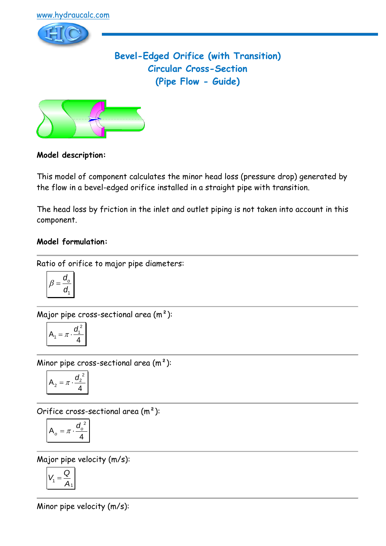

# **Bevel-Edged Orifice (with Transition) Circular Cross-Section (Pipe Flow - Guide)**



### **Model description:**

This model of component calculates the minor head loss (pressure drop) generated by the flow in a bevel-edged orifice installed in a straight pipe with transition.

The head loss by friction in the inlet and outlet piping is not taken into account in this component.

### **Model formulation:**

Ratio of orifice to major pipe diameters:

$$
\beta = \frac{d_o}{d_1}
$$

Major pipe cross-sectional area  $(m<sup>2</sup>)$ :

$$
A_1 = \pi \cdot \frac{d_1^2}{4}
$$

Minor pipe cross-sectional area  $(m<sup>2</sup>)$ :

$$
A_2 = \pi \cdot \frac{d_2^2}{4}
$$

Orifice cross-sectional area (m²):

$$
A_o = \pi \cdot \frac{{d_o}^2}{4}
$$

Major pipe velocity (m/s):

$$
V_1 = \frac{Q}{A_1}
$$

Minor pipe velocity (m/s):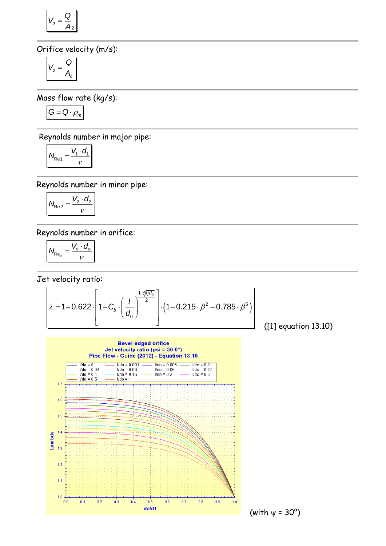$$
V_2 = \frac{Q}{A_2}
$$

Orifice velocity (m/s):

$$
V_o = \frac{Q}{A_o}
$$

Mass flow rate (kg/s):

$$
G=Q\cdot \rho_m
$$

Reynolds number in major pipe:

$$
N_{\text{Re1}} = \frac{V_1 \cdot d_1}{V}
$$

Reynolds number in minor pipe:

$$
N_{\text{Re}2} = \frac{V_2 \cdot d_2}{v}
$$

Reynolds number in orifice:

 $I/do = 0.5$ 

<del>. . . . . . . . . . . . . . . .</del>

 $0.2$ 

 $0.3$ 

 $0.4$ 

 $0.5$ 

 $0.6$ 

 $0.1$ 

 $1.7$ 

 $1.6$ 

 $1.5$ 

 $1.3$ 

 $1.2$ 

 $1.1$ 

 $1.0 +$ 

 $0.0$ 

Lambda  $1.4$   $I/do = 1$ 

$$
N_{\text{Re}_o} = \frac{V_o \cdot d_o}{V}
$$

Jet velocity ratio:



<del>. . . . . . . . . . . . . . . . . . .</del>

 $0.8$ 

 $0.9$ 

 $0.7$ 

 $\frac{d \phi/d1}{d \phi}$  (with  $\psi = 30^{\circ}$ )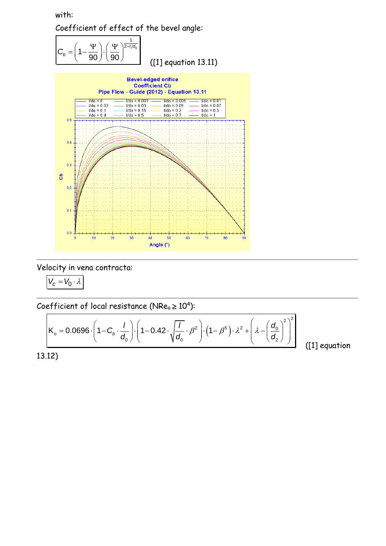with: Coefficient of effect of the bevel angle:







Velocity in vena contracta:

 $V_c = V_0 \cdot \lambda$ 

Coefficient of local resistance (NRe<sub>o</sub> ≥ 10<sup>4</sup>):  
\n
$$
K_o = 0.0696 \cdot \left(1 - C_b \cdot \frac{1}{d_0}\right) \cdot \left(1 - 0.42 \cdot \sqrt{\frac{1}{d_0}} \cdot \beta^2\right) \cdot \left(1 - \beta^5\right) \cdot \lambda^2 + \left(\lambda - \left(\frac{d_0}{d_2}\right)^2\right)^2
$$
\n[1] eq

([1] equation

13.12)

 $\mathbf{r}$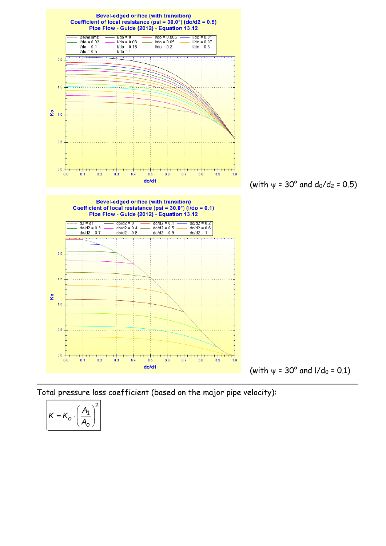

Total pressure loss coefficient (based on the major pipe velocity):

$$
K = K_o \cdot \left(\frac{A_1}{A_o}\right)^2
$$

 $\mathbf{r}$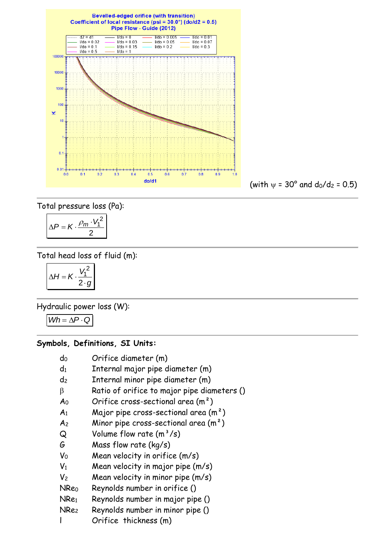**Bevelled-edged orifice (with transition)** Coefficient of local resistance (psi =  $30.0^{\circ}$ ) (do/d2 = 0.5) Pipe Flow - Guide (2012)  $Vd0 = 0.005$  $d2 = d1$  $Vd<sub>o</sub> = 0$  $Vdo = 0.01$  $1/do = 0.03$  $I$ /do = 0.02  $I/do = 0.05$  $1/do = 0.07$  $1/do = 0.1$  $I$ /do = 0.15  $V$ do = 0.2  $Vdo = 0.3$  $I/do = 0.5$  $I/do = 1$ 100000 10000 1000 100 ×  $10$  $\mathbf{0}$  $0.01 0.1$  $0.2$  $0.3$  $0.4$  $0.5$  $0.6$  $0.7$  $0.8$  $0.9$ 

 $(with \psi = 30^{\circ} \text{ and } d_0/d_2 = 0.5)$ 

Total pressure loss (Pa):

$$
\Delta P = K \cdot \frac{\rho_m \cdot V_1^2}{2}
$$

Total head loss of fluid (m):

$$
\Delta H = K \cdot \frac{V_1^2}{2 \cdot g}
$$

Hydraulic power loss (W):

 $Wh = \Delta P \cdot Q$ 

#### **Symbols, Definitions, SI Units:**

- $d_0$  Orifice diameter  $(m)$
- $d_1$  Internal major pipe diameter  $(m)$
- d<sup>2</sup> Internal minor pipe diameter (m)
- $\beta$  Ratio of orifice to major pipe diameters ()
- $A_0$  Orifice cross-sectional area  $(m^2)$
- $A_1$  Major pipe cross-sectional area  $(m^2)$
- $A<sub>2</sub>$  Minor pipe cross-sectional area  $(m<sup>2</sup>)$
- $Q$  Volume flow rate  $(m^3/s)$
- G Mass flow rate (kg/s)
- $V_0$  Mean velocity in orifice  $(m/s)$
- $V_1$  Mean velocity in major pipe  $(m/s)$
- $V_2$  Mean velocity in minor pipe  $(m/s)$
- NRe<sup>0</sup> Reynolds number in orifice ()
- NRe<sup>1</sup> Reynolds number in major pipe ()
- NRe<sup>2</sup> Reynolds number in minor pipe ()
- l Orifice thickness (m)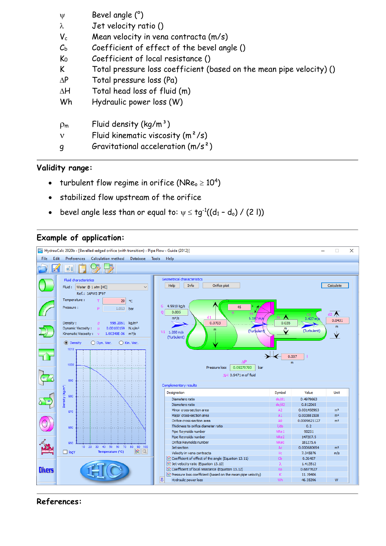| $\Psi$              | Bevel angle (°)                                                      |
|---------------------|----------------------------------------------------------------------|
| $\lambda$           | Jet velocity ratio ()                                                |
| $V_c$               | Mean velocity in vena contracta (m/s)                                |
| $C_{\rm b}$         | Coefficient of effect of the bevel angle ()                          |
| $\mathsf{K}_0$      | Coefficient of local resistance ()                                   |
| K                   | Total pressure loss coefficient (based on the mean pipe velocity) () |
| $\Delta P$          | Total pressure loss (Pa)                                             |
| $\Delta H$          | Total head loss of fluid (m)                                         |
| Wh                  | Hydraulic power loss (W)                                             |
| $\rho_{\mathsf{m}}$ | Fluid density $(kq/m^3)$                                             |
| $\mathbf{v}$        | Fluid kinematic viscosity $(m^2/s)$                                  |
| g                   | Gravitational acceleration $(m/s^2)$                                 |

### **Validity range:**

- turbulent flow regime in orifice (NRe $_{\circ}$   $\geq$  10<sup>4</sup>)
- stabilized flow upstream of the orifice
- bevel angle less than or equal to:  $\psi \leq \tg^{1}((d_{1} d_{o}) / (2 \; \mathsf{I}))$

## **Example of application:**



### **References:**